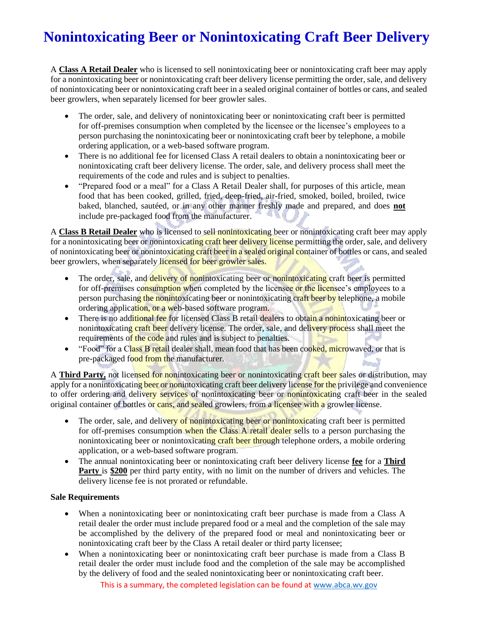# **Nonintoxicating Beer or Nonintoxicating Craft Beer Delivery**

A **Class A Retail Dealer** who is licensed to sell nonintoxicating beer or nonintoxicating craft beer may apply for a nonintoxicating beer or nonintoxicating craft beer delivery license permitting the order, sale, and delivery of nonintoxicating beer or nonintoxicating craft beer in a sealed original container of bottles or cans, and sealed beer growlers, when separately licensed for beer growler sales.

- The order, sale, and delivery of nonintoxicating beer or nonintoxicating craft beer is permitted for off-premises consumption when completed by the licensee or the licensee's employees to a person purchasing the nonintoxicating beer or nonintoxicating craft beer by telephone, a mobile ordering application, or a web-based software program.
- There is no additional fee for licensed Class A retail dealers to obtain a nonintoxicating beer or nonintoxicating craft beer delivery license. The order, sale, and delivery process shall meet the requirements of the code and rules and is subject to penalties.
- "Prepared food or a meal" for a Class A Retail Dealer shall, for purposes of this article, mean food that has been cooked, grilled, fried, deep-fried, air-fried, smoked, boiled, broiled, twice baked, blanched, sautéed, or in any other manner freshly made and prepared, and does **not** include pre-packaged food from the manufacturer.

A **Class B Retail Dealer** who is licensed to sell nonintoxicating beer or nonintoxicating craft beer may apply for a nonintoxicating beer or nonintoxicating craft beer delivery license permitting the order, sale, and delivery of nonintoxicating beer or nonintoxicating craft beer in a sealed original container of bottles or cans, and sealed beer growlers, when separately licensed for beer growler sales.

- The order, sale, and delivery of nonintoxicating beer or nonintoxicating craft beer is permitted for off-premises consumption when completed by the licensee or the licensee's employees to a person purchasing the nonintoxicating beer or nonintoxicating craft beer by telephone, a mobile ordering application, or a web-based software program.
- There is no additional fee for licensed Class B retail dealers to obtain a nonintoxicating beer or nonintoxicating craft beer delivery license. The order, sale, and delivery process shall meet the requirements of the code and rules and is subject to penalties.
- "Food" for a Class B retail dealer shall, mean food that has been cooked, microwaved, or that is pre-packaged food from the manufacturer. **State La**

A **Third Party,** not licensed for nonintoxicating beer or nonintoxicating craft beer sales or distribution, may apply for a nonintoxicating beer or nonintoxicating craft beer delivery license for the privilege and convenience to offer ordering and delivery services of nonintoxicating beer or nonintoxicating craft beer in the sealed original container of bottles or cans, and sealed growlers, from a licensee with a growler license.

- The order, sale, and delivery of nonintoxicating beer or nonintoxicating craft beer is permitted for off-premises consumption when the Class A retail dealer sells to a person purchasing the nonintoxicating beer or nonintoxicating craft beer through telephone orders, a mobile ordering application, or a web-based software program.
- The annual nonintoxicating beer or nonintoxicating craft beer delivery license **fee** for a **Third Party** is \$200 per third party entity, with no limit on the number of drivers and vehicles. The delivery license fee is not prorated or refundable.

### **Sale Requirements**

- When a nonintoxicating beer or nonintoxicating craft beer purchase is made from a Class A retail dealer the order must include prepared food or a meal and the completion of the sale may be accomplished by the delivery of the prepared food or meal and nonintoxicating beer or nonintoxicating craft beer by the Class A retail dealer or third party licensee;
- When a nonintoxicating beer or nonintoxicating craft beer purchase is made from a Class B retail dealer the order must include food and the completion of the sale may be accomplished by the delivery of food and the sealed nonintoxicating beer or nonintoxicating craft beer.

This is a summary, the completed legislation can be found a[t www.abca.wv.gov](https://abca.wv.gov/Pages/HB2025.aspx)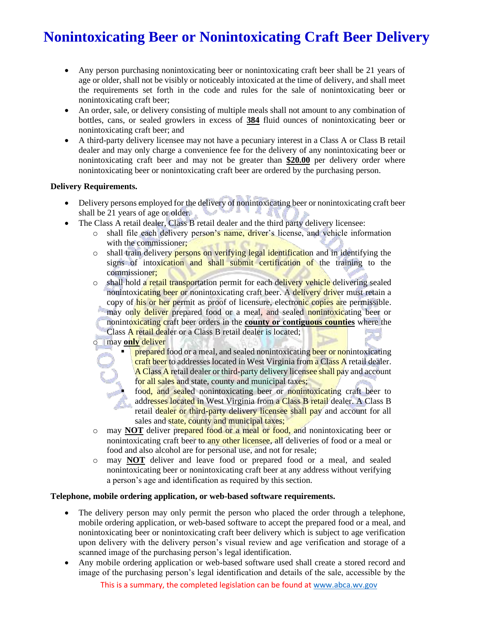# **Nonintoxicating Beer or Nonintoxicating Craft Beer Delivery**

- Any person purchasing nonintoxicating beer or nonintoxicating craft beer shall be 21 years of age or older, shall not be visibly or noticeably intoxicated at the time of delivery, and shall meet the requirements set forth in the code and rules for the sale of nonintoxicating beer or nonintoxicating craft beer;
- An order, sale, or delivery consisting of multiple meals shall not amount to any combination of bottles, cans, or sealed growlers in excess of **384** fluid ounces of nonintoxicating beer or nonintoxicating craft beer; and
- A third-party delivery licensee may not have a pecuniary interest in a Class A or Class B retail dealer and may only charge a convenience fee for the delivery of any nonintoxicating beer or nonintoxicating craft beer and may not be greater than **\$20.00** per delivery order where nonintoxicating beer or nonintoxicating craft beer are ordered by the purchasing person.

### **Delivery Requirements.**

- Delivery persons employed for the delivery of nonintoxicating beer or nonintoxicating craft beer shall be 21 years of age or older.
- The Class A retail dealer, Class B retail dealer and the third party delivery licensee:
	- $\circ$  shall file each delivery person's name, driver's license, and vehicle information with the commissioner:
	- $\circ$  shall train delivery persons on verifying legal identification and in identifying the signs of intoxication and shall submit certification of the training to the commissioner;
	- $\circ$  shall hold a retail transportation permit for each delivery vehicle delivering sealed nonintoxicating beer or nonintoxicating craft beer. A delivery driver must retain a copy of his or her permit as proof of licensure, electronic copies are permissible. may only deliver prepared food or a meal, and sealed nonintoxicating beer or nonintoxicating craft beer orders in the **county or contiguous counties** where the Class A retail dealer or a Class B retail dealer is located;
	- o may **only** deliver
		- **prepared** food or a meal, and sealed nonintoxicating beer or nonintoxicating craft beer to addresses located in West Virginia from a Class A retail dealer. A Class A retail dealer or third-party delivery licensee shall pay and account for all sales and state, county and municipal taxes;
			- food, and sealed nonintoxicating beer or nonintoxicating craft beer to addresses located in West Virginia from a Class B retail dealer. A Class B retail dealer or third-party delivery licensee shall pay and account for all sales and state, county and municipal taxes;
	- o may **NOT** deliver prepared food or a meal or food, and nonintoxicating beer or nonintoxicating craft beer to any other licensee, all deliveries of food or a meal or food and also alcohol are for personal use, and not for resale;
	- o may **NOT** deliver and leave food or prepared food or a meal, and sealed nonintoxicating beer or nonintoxicating craft beer at any address without verifying a person's age and identification as required by this section.

### **Telephone, mobile ordering application, or web-based software requirements.**

- The delivery person may only permit the person who placed the order through a telephone, mobile ordering application, or web-based software to accept the prepared food or a meal, and nonintoxicating beer or nonintoxicating craft beer delivery which is subject to age verification upon delivery with the delivery person's visual review and age verification and storage of a scanned image of the purchasing person's legal identification.
- Any mobile ordering application or web-based software used shall create a stored record and image of the purchasing person's legal identification and details of the sale, accessible by the